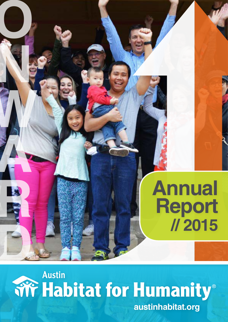## **Annual Report // 2015**

# **DAustin**

**O**

**N** 

**W**

**A**

**R**

**austinhabitat.org**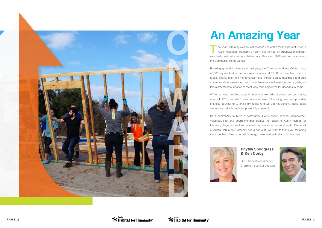

## **An Amazing Year**

**T**he year 2015 may well be looked at as one of the most important times in Austin Habitat for Humanity's history. It is the year an organizational dream was finally realized - we consolidated our offices and ReStore into one location,

the Community Home Center.<br>Breaking ground in January of last year, the Community Home Center hosts 43,000 square feet of ReStore retail space and 10,500 square feet of office areas. Shortly after this monumental move, ReStore sales multiplied and staff communication streamlined. With the achievement of these short-term goals, we laid a steadfast foundation to meet long-term objectives for decades to come.

While we were building strength internally, we did not pause our community efforts. In 2015, we built 15 new homes, repaired 39 existing ones, and provided financial counseling to 343 individuals. And we did not achieve these goals alone – we did it through the power of partnership. Its a community to build a community. Every donor, sponsor, homeowner,

volunteer, staff and board member creates the legacy of Austin Habitat for Humanity. Together, we turn hope into home and home into strength. On behalf of Austin Habitat for Humanity board and staff, we want to thank you for being the force that drives us to build strong, stable, and self-reliant communities.



### **Phyllis Snodgrass & Ken Corby**

CEO, Habitat for Humanity Chairman, Board of Directors

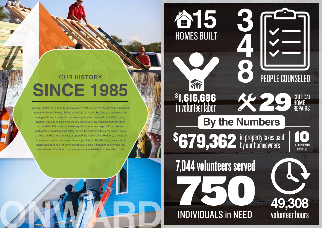

## TIT **\$1,616,696<br>in volunteer labor**

## HOME 2988 S679,362 in property taxes paid by our homeowners **A-BRUSH WITH**

**348**

THE RESEARCH 7,044 volunteers served



## PEOPLE COUNSELED

**KINDNESS 100 M**<br>A-BRUSH WITH

**CRITICAL<br>HOME<br>REPAIRS** 

**ONWARD**

Austin Habitat for Humanity was founded in 1985 to serve the affordable housing needs of Central Texas. By the end of 2015, Austin Habitat has built over 405 energy-efficient homes for hardworking families; repaired over 259 existing homes; and counseling over 10,000 individuals. By requiring homeowners to complete 300 hours of "sweat equity" where they help build homes and participate in housing counseling, Austin Habitat provides a "hand up," not a hand out. In 1992, Austin Habitat opened the nation's first ReStore, a nonprofit home improvement store and recycling initiative. The ReStore, a source of sustainable revenue for the organization, is also a donation facility that has diverted over 17 million pounds of reusable materials from landfills to date.

## OUR **HISTORY SINCE 1985**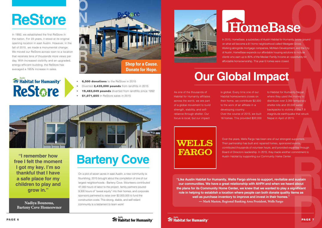## **ReStore**

In 1992, we established the first ReStore in the nation. For 23 years, it stood at its original opening location in east Austin. However, in the fall of 2015, we made a monumental change. We moved our ReStore across town to a location that receives tens of thousands more views per day. With increased visibility and an upgraded, energy-efficient building, the ReStore has averaged a 195% increase in sales.

### **Wife Habitat for Humanity®** Restare



- **6.500 donations** to the ReStore in 2015
- Diverted 2,435,000 pounds from landfills in 2015
- **19.483.049 pounds** diverted from landfills since 1992
- \$1,071,655 in ReStore sales in 2015



**"I remember how free I felt the moment I got my key. I'm so thankful that I have a safe place for my children to play and grow in."** 

## **Barteny Cove**

**Warner Controllering School System**<br> **Warner School School School School School School School School School School School School School School School School School School School School School School School School School S** to Habitat for Humanity Nepal, where they used the money to distribute over 2,300 temporary shelter kits and 20,000 water backpacks to victims of the 7.8 magnitude earthquake that struck Nepal in April of 2015.

On a plot of seven acres in east Austin, a new community is flourishing. 2015 brought about the completion of one of our largest neighborhoods - Barteny Cove. Volunteers contributed 47,000 hours of labor to the project, family partners poured 9,300 hours of "sweat equity" into their homes, and corporate sponsors partnered to raise over \$2,000,000 to fund the construction costs. This strong, stable, and self-reliant community is a testament to team work!





IIty, broke ground<br>te Grove.<br>ent, and the City<br>ns to include<br>pportunity for<br>**NAMA CONCITY CONCITY** In 2015, HomeBase, a subsidiary of Austin Habitat for Humanity, broke ground on what will become a 61 home neighborhood called Westgate Grove. Working alongside mortgage companies, MoMark Development, and the City of Austin, HomeBase expands our affordable housing solutions to include clients who earn up to 80% of the Median Family Income an opportunity for affordable homeownership. This year 6 homes were closed.

## **HomeBase**

**Nadiya Bounoua, Barteny Cove Homeowner**

PAGE 7

### **Our Global Impact**

**R D**<br>PAGE 7 **"Like Austin Habitat for Humanity, Wells Fargo strives to support, revitalize and sustain our communities. We have a great relationship with AHFH and when we heard about the plans for its Community Home Center, we knew that we wanted to play a significant role in helping to establish a location where people can both donate quality items as well as purchase inventory to improve and invest in their homes." — Mark Masten, Regional Banking Area President, Wells Fargo**

As one of the thousands of Habitat for Humanity affiliates across the world, we are part of a global movement to build strength, stability, and selfreliance through shelter. Our focus is local, but our impact

15.<br>
supporters.<br>
l events,<br>
pertise through<br>
commitment to Over the years, Wells Fargo has been one of our strongest supporters. Their partnership has built and repaired homes, sponsored events, contributed thousands of volunteer hours, and provided expertise through Board of Directors leadership. In 2015, they made another commitment to Austin Habitat by supporting our Community Home Center.

is global. Every time one of our Habitat homeowners closes on their home, we contribute \$2,000 to the work of an affiliate in a developing country. Over the course of 2015, we built 16 homes. This provided \$32,000

WELLS **FARGO** 

**Tifful Austin**<br> **Tifful Habitat for Humanity**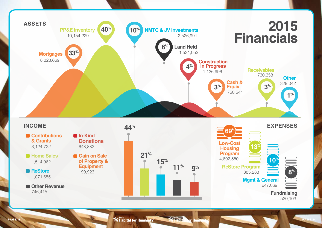**ReStore Program**

**Low-Cost Housing Program** 4,692,580





746,415

**PAGE 8** PAGE 9 **PAGE 9 PAGE 9 PAGE 9 PAGE 9 PAGE 9 PAGE 9 PAGE 9 PAGE 9 PAGE 9 PAGE 9 PAGE 9 PAGE 9 PAGE 9 PAGE 9 PAGE 9 PAGE 9 PAGE 9 PAGE 9 PAGE 9 PAGE 9 PAGE 9 PAGE 9 PAGE 9 PAGE 9 PAGE 9 PAGE 9 PAGE 9 PAGE 9 PAGE 9 PA** 



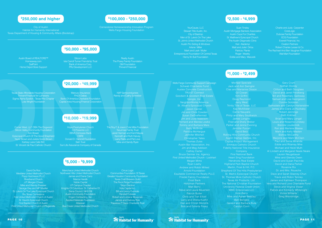### **\$1,000 - \$2,499**

### **\$5,000 - \$9,999**

### **\$10,000 - \$19,999**

### **\$20,000 - \$49,999**

**\$50,000 - \$95,000**

### **\$250,000 and higher \$100,000 - \$250,000 \$2,500 - \$4,999**

Wells Fargo Community Support Campaign Schwab Charitable Fund Austex Concrete Construction TRUiST Connect Goodwin & Goodwin Real Estate Google, Inc. NeighborWorks America St. Alban's Episcopal Church Jason Carrier Jim and Chris Cowden Susan DeGraffenried Jim and Judy Isaacson Richard and Wanda Lowke

**Betty McBride** Patricia McHargue Jennifer Mitchell Christopher Yates Thomas Zuiss Austin Bar Association, Inc. Jim and Meg Addison Cathey Carter Bruce Germer Ins. Agency First United Methodist Church - Lockhart Megan Mims

Larry and Sheila Kuehn Dan and Christi Mondrik Bob and Estrella Posey **THE Austin Austin Example 2 1999 The Austin Street Street Street Street Street Street Street Street Street Street Street Street Street Street Street Street Street Street Street Street Street Street Street Street Street St** 

Andrew and Robbi Millest Arnold Foundation Equitable Commercial Realty PLLC Friedel Family Foundation Frost Bank Holtzman Partners Matt Berry Steve and Laura Beuerlein Patrick Butler Chris and Tish Elliott

Gary Crum Nathan Dooley Clifton and Beth Douglass David and Janet Freidberg Bill and Rosemary Galloway Samuel and Lisa Georgeson Connie Goldston Barksdale and Carolyn Hortenstine James and Clara Jo Huckaby Robert Jennings Beth Kirkhart Louis and Rosanne Lindsey Brenda Loudermilk Ron and Marlene Massa Mark and Kelly Masten Bishop McCarthy Marjorie and Mark McClain Paul and Sonia Miranda Eddie and Ritamay Mire Michael and Heidi Muth Al Lindahl and Margaret Neale Neale Lauren Neugebauer Mike and Glenda Owen David and Susan Pacinda David and Dana Parker Roxanne Rix Dr. and Mrs. Roueche Dave and Sarah Stasney-Chun Travis and Robin Tenney James and Kathleen Thompson Vera and Richard Love Charitable Fund Steve and Virginia Visser Patrick and Kimberly Whitenight Vickie Williams Greg Wooldridge **ONE SERVICE SERVICE SERVICE SERVICE SERVICE SERVICE SERVICE SERVICE SERVICE SERVICE SERVICE SERVICE SERVICE SERVICE SERVICE SERVICE SERVICE SERVICE SERVICE SERVICE SERVICE SERVICE SERVICE SERVICE SERVICE SERVICE SERVICE** 

Michael Speciale

Jack and Ann Swingler Clas and Marianne Olsson Kim Griffin Doug Raymond Jerry West Trinity Title of Texas, LLC Kay McAllister Carrie Nauyalis **Philip and Mary Southwick** James Longino Fred and Shelly Weber Parker and Jenne Fanning Jennifer Purcell David Betz Rolling Hills Community Church Austin Startup Games, Inc. Capital Project Management Emmaus Catholic Church Fidelity National Title Insurance **Company** First National Bank Heart Sing Foundation Highland Park Baptist Church Shepherd Of The Hills Presbyterian St. Mark's Episcopal Church St. Thomas More Catholic Church Texas Air Products, Ltd. The National Christian Foundation University Federal Credit Union WMC Enterprises LLC Vicki Barry **Mike and Agnes Beasley** Matt Benigno Gerard and Barbara Bula Carolyn Conn

David De Roo Westlake United Methodist Church Popp Hutcheson PLLC Riverbend Church J.P. Morgan Chase Mike and Wendy Elsasser George Gau and MP Mueller St. Luke's On The Lake Episcopal Church Rio Texas Conference First United Methodist Church of Austin St. David's Episcopal Church First Baptist Church of Austin First United Methodist Church of Pflugerville

Cirrus Logic Communities Foundation Of Texas Greater Houston Community Foundation Texas Craft Brewers Guild The Rock Ridge Foundation Tokyo Electron Vida Capital Inc. **Bill and Jenny Eversole** Randall Fojtasek Robert and Lorraine Mossman James and Dabney Roe Theodore P Davis Charitable Trust

Corner West, LLC DBA The Dogwood **Silicon Valley Community Foundation** Ann Bower Episcopal Church Of The Good Shepherd Taylor Brown and Julieta Gorini Brown Kerbey Lane Cafe INC St. Vincent de Paul Catholic Church

The Roy F. & Joann Cole Mitte Foundation Tsourmas Family Trust Janet Harman and Kent Mayes Kenneth and Ruth Harvey Larry Parks and Pat Love **Mike and Sandy Ryan** 

Mercury Insurance FHLB Dallas Bank Of America Charitable Foundation Capital Area Housing Finance Corporation

**Realty Austin** The Posey Family Foundation GM Foundation Thrivent Financial

Habitat for Humanity International Texas Department of Housing & Community Affairs (Bootstrap)

Charlie and Judy Carpenter **CoreLogic** Dubose Family Foundation ECG Foundation Everett Financial, Inc. Ovation Partners Robert Charles Lesser & Co. The Rachael And Ben Vaughan Foundation Wal-Mart Foundation

Manchaca United Methodist Church Northwest Hills United Methodist Church James and Diane Cano Marcia Harelik Noble Capital UT Campus Chapter Knights Of Columbus: St. Catherine Of Siena Council, N# 8156 Austin Community Foundation Engen Contracting, Inc. Applied Materials Foundation Atlassian Bee Creek United Methodist Church

Hope Presbyterian Church C3 Presents LLC BBVA Compass Bank **CBRE** Donald D. Hammill Foundation Sieh Trust Sun Life Assurance Company of Canada

Texas State Affordable Housing Corporation Thrivent Financial for Lutherans Sigma Alpha Epsilon - Texas Rho Chapter Lola Wright Foundation

NXP Semiconductors Randy and Cathy Schreiber

Austin Board of REALTORS™ Homeaway.com **SailPoint** Home Depot Store Support

Silicon Labs Isla Carroll Turner Friendship Trust Bank of America Corp.

### PRJ Development LLC

Cornerstone Homeownership Innovation Program Wells Fargo Housing Foundation

YourCause, LLC Stewart Title Austin, Inc. City of Bastrop Men of St. Luke's On The Lake St. John's United Methodist Church Austin Pro Siding & Windows Arlene Miller Mark and Leah Muller

Entrepreneurs Foundation Of Central Texas Henry W. Bull Foundation

Austin Mortgage Bankers Association Austin Cops For Charities St. Matthew's Episcopal Church The Austin Diagnostic Clinic Keri Aladeniyi Matt and Juliet Dirba Roger Weekly Eddie and Mary Mazurek



### PAGE 10

**Austin** Austin Australian Australian Strong Australian Strong Australian Strong Australian Australian Strong Australian Strong Australian Australian Australian Australian Strong Australian Australian Australian Australian

- 
- 
- 
- 
-